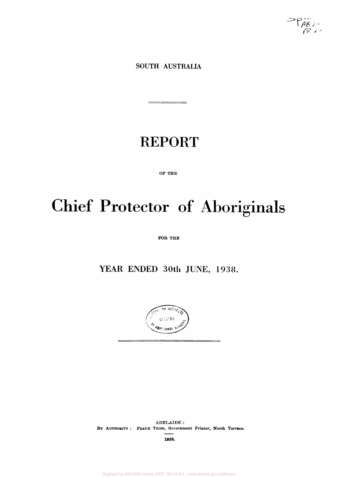$\sup_{R}$ 

**SOUTH AUSTRALIA** 

# REPORT

--

OF THE

# Chief Protector of Aboriginals

FOR THE

YEAR ENDED 30th JUNE, 1938.



ADELAIDE : BY AUTHORITY : FRANK TRIGG, Government Printer, North Terrace.

1938.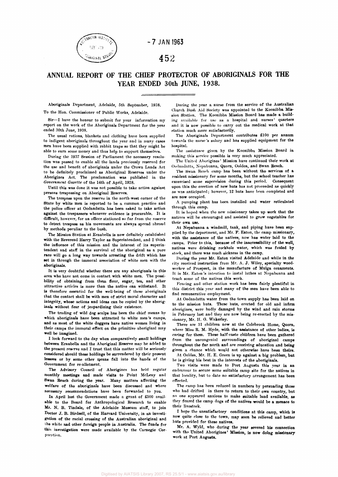

**- 7 JAN 1963** 

# 452

# **ANNUAL REPORT OF THE CHIEF PROTECTOR OF ABORIGINALS FOR THE YEAR ENDED 30th JUNE, 1938.**

Aboriginals Department, Adelaide, 5th September, 1938. To the Hon. Commissioner of Public Works, Adelaide.

Sir—I have the honour to submit for your information my report on the work of the Aboriginals Department for the year ended 30th June, 1938.

The usual rations, blankets and clothing have been supplied to indigent aboriginals throughout the year and in many cases men have been supplied with rabbit traps so that they might be able to earn some money and thus help to support themselves.

During the 1937 Session of Parliament the necessary resolution was passed to enable all the lands previously reserved for the use and benefit of aboriginals under the Crown Lands Act to be definitely proclaimed as Aboriginal Reserves under the Aborigines Act. The proclamation was published in the *Government Gazette* of the 14th of April, 1938.

Until this was done it was not possible to take action against persons trespassing on Aboriginal Reserves.

The trespass upon the reserve in the north-west corner of the State by white men is reported to be a common practice and the police officer at Oodnadatta has been asked to take action against the trespassers whenever evidence is procurable. It is difficult, however, for an officer stationed so far from the reserve to detect trespass as his movements are always spread abroad by methods peculiar to the bush.

The Mission Station at Ernabella is now definitely established with the Reverend Harry Taylor as Superintendent, and I think the influence of this mission and the interest of its superintendent and staff in the survival of the aboriginal as a pure race will go a long way towards arresting the drift which has set in through the immoral association of white men with the aboriginals.

It is very doubtful whether there are any aboriginals in this area who have not come in contact with white men. The possibility of obtaining from them flour, sugar, tea, and other attractive articles is more than the native can withstand. It is therefore essential for the well-being of these aboriginals that the contact shall be with men of strict moral character and integrity, whose actions and ideas can be copied by the aboriginals without fear of jeopardizing their existence.

The trading of wild dog scalps has been the chief means by which aboriginals have been attracted to white men's camps, and as most of the white doggers have native women living in their camps the immoral effect on the primitive aboriginal may well be imagined.

I look forward to the day when comparatively small holdings between Ernabella and the Aboriginal Reserve may be added to the present reserve and I trust that this matter will be seriously considered should these holdings be surrendered by their present lessees or by some other means fall into the hands of the Government for re-allotment.

The Advisory Council of Aborigines has held regular monthly meetings and made visits to Point McLeay and Swan Reach during the year. Many matters affecting the welfare of the aboriginals have been discussed and where necessary recommendations have been forwarded to you.

In April last the Government made a grant of £500 available to the Board for Anthropological Research to enable Mr. N. B. Tindale, of the Adelaide Museum staff, to join Doctor J. B. Birdsell, of the Harvard University, in an investigation of the racial crossing of the Australian aboriginal and the white and other foreign people in Australia. The funds for this investigation were made available by the Carnegie Corporation.

During the year a nurse from the service of the Australian Church Bush Aid Society was appointed to the Koonibba Mission Station. The Koonibba Mission Board has made a building available for use as a hospital and nurses' quarters and it is now possible to carry out the medical work at that station much more satisfactorily.

The Aboriginals Department contributes £100 per annum towards the nurse's salary and has supplied equipment for the hospital.

The assistance given by the Koonibba Mission Board in making this service possible is very much appreciated.

The United Aborigines' Mission have continued their work at Oodnadatta, Nepabunna, Quorn, Ooldea, and Swan Reach.

The Swan Reach camp has been without the services of a resident missionary for some months, but the school teacher has excercised some supervision during this period. Consequent upon this the erection of new huts has not proceeded as quickly as was anticipated; however, 12 huts have been completed and are now occupied.

A pumping plant has been installed and water reticulated through this camp.

It is hoped when the new missionary takes up work that the natives will be encouraged and assisted to grow vegetables for their own use.

At Nepabunna a windmill, tank, and piping have been supplied by the department, and Mr. F. Eaton, the camp missionary, with the assistance of the natives, now has water laid to the camps. Prior to this, because of the inaccessibility of the well, natives were drinking rockhole water, which was fouled by stock, and there was much sickness in the camp.

During the year Mr. Eaton visited Adelaide and while in the city received instruction from Mr. A. J. Wiley, specialty woodworker of Prospect, in the manufacture of Mulga ornaments. It is Mr. Eaton's intention to instal lathes at Nepabunna and teach some of the natives this work.

Fencing and other station work has been fairly plentiful in this district this year and many of the men have been able to find remunerative employment.

At Oodnadatta water from the town supply has been laid on to the mission huts. These huts, erected for old and infirm aborigines, were badly damaged by the wind and rain storms in February last and they are now being re-erected by the missionary, Mr. II. G. Wakerley.

There are 31 children now at the Colebrook Home, Quorn, where Miss R. M. Hyde, with the assistance of other ladies, is caring for them. These half-caste children have been gathered from the uncongenial surroundings of aboriginal camps throughout the far north and are receiving education and being given a chance which would not otherwise have been theirs.

At Ooldea, Mr. H. E. Green is up against a big problem, but lie is giving his best in the interests of the aboriginals.

Two visits were made to Port Augusta this year in an endeavour to secure some suitable camp site for the natives in that locality, but to date no satisfactory arrangement has been effected.

The camp has been reduced in numbers by persuading those who had drifted in there to return to their own country, but no one appeared anxious to make suitable land available, as they feared the camp dogs of the natives would be a menace to their livestock.

I hope the unsatisfactory conditions at this camp, which is now quite close to the town, may soon be relieved and better huts provided for these natives.

Mr. A. Wyld, who during the year severed his connection with the United Aborigines' Mission, is now doing missionary work at Port Augusta.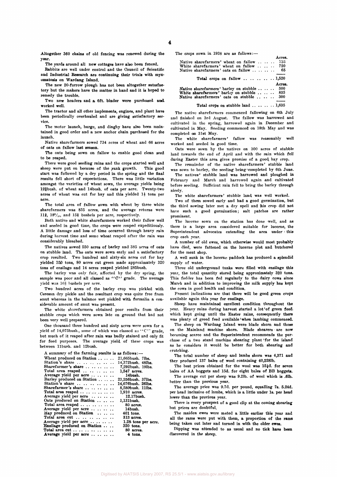Altogether 360 chains of old fencing was renewed during the year.

The yards around all new cottages have also been fenced.

Babbits are well under control and the Council of Scientific and Industrial Research are continuing their trials with myxomatosis on Wardang Island.

The new 20-furrow plough has not been altogether satisfactory but the makers have the matter in hand and it is hoped to remedy the trouble.

Two new headers and a 6ft. binder were purchased and, worked well.

The tractor and all other implements, engines, and plant have been periodically overhauled and are giving satisfactory service.

The motor launch, barge, and dinghy have also been maintained in good order and a new anchor chain purchased for the launch.

Native sharefarmers sowed 734 acres of wheat and 66 acres of oats on fallow last season.

The oats being sown on fallow to enable good clean seed to be reaped.

There were good seeding rains and the crops started well and sheep were put on because of the rank growth. This good start was followed by a dry period in the spring and the final results fell short of expectations. There was little variation amongst the varieties of wheat sown, the average yields being 12\$bush. of wheat and 14bush. of oats per acre. Twenty-two acres of wheat was cut for hay and this yielded  $1\frac{1}{2}$  tons per acre.

The total area of fallow sown with wheat by three white sharefarmers was 835 acres, and the average returns were 11 $\frac{3}{8}$ , 18<sup>3</sup>/<sub>10</sub>, and 15<sup>2</sup>/<sub>3</sub> bushels per acre, respectively.

Both native and white sharefarmers worked their fallow well and seeded in good time, the crops were reaped expeditiously. A little damage and loss of time occurred through heavy rain during harvest time and some wheat reaped after the rain was considerably bleached.

The natives sowed 550 acres of barley and 385 acres of oats on stubble land. The oats were sown early and a satisfactory crop resulted. Two hundred and sixty-six acres cut for hay yielded 350 tons, 80 acres cut green made approximately 320 tons of ensilage and 14 acres reaped yielded 285bush.

The barley was only fair, affected by the dry spring, the sample was poor and all classed as "C" grade. The average yield was 16<sup>3</sup> bushels per acre.

Two hundred acres of the barley crop was pickled with Ceresan dry pickle and the resultant crop was quite free from smut whereas in the balance wet pickled with formalin a considerable amount of smut was present.

The white sharefarmers obtained poor results from their stubble crops which were sown late on ground that had not been very well prepared.

One thousand three hundred and sixty acres were sown for a yield of 14,075bush., some of which was classed as " $C$ " grade, but much of it reaped after rain was badly stained and only fit for feed purposes. The average yield of these crops was between 11bush. and 12bush.

A summary of the farming results is as follows:—

| Wheat produced on Station    | 21,665bush. 7lbs.   |
|------------------------------|---------------------|
| Station's share              | 14,372bush. 48lbs.  |
| Sharefarmer's share          | 7.292bush. 19lbs.   |
| Total area reaped            | 1,547 acres.        |
| Average yield per acre       | 14bush.             |
| Barley produced on Station   | 23,256bush. 37lbs.  |
| Station's share              | 14,676bush. 26lbs.  |
| Sharefarmer's share          | 8,580bush. 11lbs.   |
| Total area reaped            | 1,910 acres.        |
| Average yield per acre       | 12.17bush.          |
| Oats produced on Station     | 1,131bush.          |
| Total area reaped            | 80 acres.           |
| Average yield per acre       | 14bush.             |
| Hay produced on Station      | $401$ tons.         |
| Total area cut               | $313$ acres.        |
| Average yield per acre       | 1.28 tons per acre. |
| Ensilage produced on Station | 320 tons.           |
| Total area cut               | 80 acres.           |
| Average yield per acre       | 4 tons.             |

The crops sown in 1938 are as follows:—

|                                                          | Acres. |
|----------------------------------------------------------|--------|
| Native sharefarmers' wheat on fallow                     | 735    |
| White sharefarmers' wheat on fallow  720                 |        |
| Native sharefarmers' oats on fallow  65                  |        |
|                                                          |        |
| Total crops on fallow $1,520$                            |        |
|                                                          | Acres. |
| Native sharefarmers' barley on stubble  500              |        |
| White sharefarmers' barley on stubble $835$              |        |
| Native sharefarmers' oats on stubble  300                |        |
|                                                          |        |
| Total crops on stubble land $\ldots \ldots \ldots 1,635$ |        |

The native sharefarmers commenced fallowing on 6th July and finished on 3rd August. The fallow was harrowed and cultivated in the spring, harrowed again in December and cultivated in May. Seeding commenced on 18th May and was completed on 31st May.

The white sharefarmers' fallow was reasonably well worked and seeded in good time.

Oats were sown by the natives on 300 acres of stubble land towards the end of April and with the rain which fell during Easter this area gives promise of a good, hay crop.

The remainder of the native sharefarmers' stubble land was sown to barley, the seeding being completed by 6th June.

The natives' stubble land was harrowed and ploughed in February and March and harrowed again and cultivated before seeding. Sufficient rain fell to bring the barley through nicely.

The white sharefarmers' stubble land was well worked.

Two of them sowed early and had a good germination, but the third sowing later met a dry spell and his crop did not have such a good germination; salt patches are rather prominent.

The lucerne sown on the station has done well, and as there is a large area considered suitable for lucerne, the Superintendent advocates extending the area under this crop each year.

A number of old ewes, which otherwise would most probably have died, were fattened on the lucerne plot and butchered for the meat shop.

A well sunk in the lucerne paddock has produced a splendid supply of water.

Three old underground tanks were filled with ensilage this year, the total quantity stored being approximately 320 tons. This fodder has been fed regularly to the dairy cows since March and in addition to improving the milk supply has kept the cows in good health and condition.

Present indications are that there will be good green crops available again this year for ensilage.

Sheep have maintained excellent condition throughout the year. Heavy rains during harvest started a lot'of green feed. which kept going until the Easter rains, consequently there was plenty of greed feed available when lambing commenced.

The sheep on Wardang Island were blade shorn and those on the Mainland machine shorn. Blade shearers are now becoming scarce and the Superintendent recommends the purchase of a two stand machine shearing plant for the island as he considers it would be better for both shearing and crutching.

The total number of sheep and lambs shorn was 4,371 and they produced 137 bales of wool containing 40,2281b.

The best prices obtained for the wool was  $15\frac{1}{4}d$ . for seven bales of AA hoggets and 15d. for eight bales of BB hoggets.

The average cut per sheep was 9.21b. of wool which is .61b. better than the previous year.

The average price was 9.7d. per pound, equalling 7s. 5.24d. per head inclusive of lambs, which is a little under 1s. per head lower than the previous year.

There is every prospect of a good clip at the coming shearing but prices are doubtful.

The maiden ewes were mated a little earlier this year and all the rams were put with them, a proportion of the rams being taken out later and turned in with the older ewes.

Dipping was attended to as usual and no tick have been discovered in the sheep.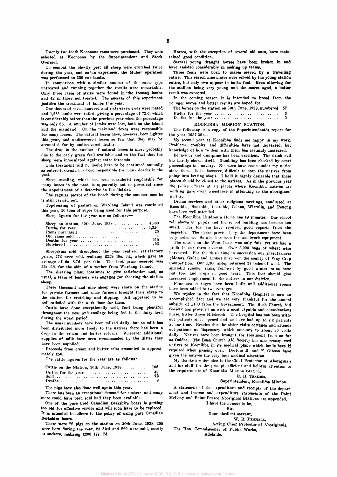**Twenty two-tooth Koonoona rams were purchased. They were selected at Koonoona by the Superintendent and Stock Overseer.** 

**To combat the blowfly pest all sheep were crutched twice**  during the year, and as 'an experiment the Mules' operation **was performed on 350 ewe lambs.** 

**In comparison with a similar number of the same type untreated and running together the results were remarkable.**  Only three cases of strike were found in the treated lambs **and 42 in those not treated. The success of this experiment justifies the treatment of lambs this year.** 

**One thousand seven hundred and sixty-seven ewes were mated and 1,283 lambs were tailed, giving a percentage of 72.6, which is considerably better than the previous year when the percentage was only 55. A number of lambs were lost, both on the island and the mainland. On the mainland foxes were responsible for many losses. The natural losses have, however, been lighter this year, and undiscovered losses so few that they may be accounted for by undiscovered deaths.** 

**The drop in the number of natural losses is most probably due to the, early green feed available and to the fact that the sheep were innoculated against entro-toxaemia.** 

**This treatment will no doubt have to be continued annually as entero-toxaemia has been responsible for many deaths in the past.** 

**Sheep stealing, which has been considered responsible for many losses in the past, is apparently not so prevalent since the appointment of a detective in the district.** 

**The regular patrol of the beach during the summer months is still carried out.** 

**Topdressing of pasture on Wardang Island was continued this year, 10 tons of super being used for this purpose.** 

**Sheep figures for the year are as follows:—** 

| Sheep on station, 30th June, $1938$ 4,960 |                |
|-------------------------------------------|----------------|
|                                           |                |
|                                           |                |
|                                           | $\overline{4}$ |
|                                           | 210            |
|                                           | 725.           |

**Sheepskins sold throughout the year realized satisfactory prices, 773 were sold, realizing £259 19s. 3d., which gave an average of 6s. 8.7d. per skin. The best price received was 22s. 2d. for the skin of a wether from Wardang Island.** 

**The shearing plant continues to give satisfaction and, as banal, a team of learners was engaged for shearing the station sheep.** 

**Three thousand and nine sheep were shorn on the station tor private farmers and some farmers brought their sheep to the station for crutching and dipping. All appeared to be well satisfied with the work done for them.** 

**Cattle have done exceptionally well, feed being plentiful throughout the year and ensilage being fed to the dairy herd during the worst period.** 

**The usual numbers have been milked daily, but as milk has been distributed more freely to the natives there has been a drop in the cream and butter returns. Wherever additional supplies of milk have been recommended by the Sister they have been supplied.** 

**Proceeds from cream and butter sales amounted to approximately £50.** 

**The cattle figures for the year are as follows:—** 

| Cattle on the Station, 30th June, 1938  106 |    |
|---------------------------------------------|----|
|                                             | 49 |
|                                             | 72 |
|                                             | 9. |

**The pigs have also done well again this year.** 

**There has been an exceptional demand for suckers, and many more could have been sold had they been available.** 

**One of the pure bred Canadian Berkshire boars is getting too old for effective service and will soon have to be replaced. It is intended to adhere to the policy of using pure Canadian Berkshire boars.** 

**There were 72 pigs on the station on 30th June, 1938, 200 "were born during the year, 23 died and 229 were sold, mostly as suckers, realizing £206 17s. 7d.** 

**Horses, with the exception of several old ones, have maintained good condition.** 

**Several young draught horses have been broken in and have assisted considerably in making up teams.** 

**Three foals were born to mares served by a travelling entire. This season nine mares were served by the young station entire, but only two appear to be in foal. Even allowing for the stallion being very young and the mares aged, a better result was expected.** 

**In the coming season it is intended to breed from the younger mares and better results are hoped for.** 

| The horses on the station on 30th June, 1938, numbered 57 |  |  |  |  |  |  |  |     |
|-----------------------------------------------------------|--|--|--|--|--|--|--|-----|
|                                                           |  |  |  |  |  |  |  | -3- |
|                                                           |  |  |  |  |  |  |  | 5.  |

### **KOONIBBA MISSION STATION.**

**The following is a copy of the Superintendent's report for the year 1937-38:—** 

**My second year at Koonibba finds me happy in my work. Problems, troubles, and difficulties have not decreased, but knowledge of how to deal with them has certainly increased.** 

**Behaviour and discipline has been excellent. The drink evil has hardly shown itself. Gambling has been checked by court proceedings in January. No cases have come under my notice since then. It is, however, difficult to stop the natives from going into betting shops. I hold it highly desirable that these places should be closed to the natives. As in the previous year the police officers at all places where Koonibba natives are working gave every assistance in attending to the aborigines' welfare.** 

**Divine services and other religious meetings, conducted at Koonibba, Bookabie, Coorabie, Colona, Wirrulla, and Penong have been well attended.** 

**The Koonibba Children's Home has 49 inmates. Our school roll shows 80 pupils and the school building has become too small. Our teachers have received good reports from the inspector. The desks provided by the department have been very welcome. So also has been the woodwork equipment.** 

**The season on the West Coast was only fair, yet we had a profit in our farm account. Over 5,000 bags of wheat were harvested. For the third time in succession our sharefarmers**  (Messrs. Gaden and Linke) have won the county of Way Crop **Competition. Our 1,300 sheep returned 37 bales of wool. The splendid summer rains, followed by good winter rains have put feed and crops in good heart. This fact should give increased employment to the natives in our district.** 

**Four new cottages have been built and additional rooms have been added to two cottages.** 

**We rejoice in the fact that Koonibba Hospital is now an accomplished fact and we are very thankful for the annual subsidy of £100 from the Government. The Bush Church Aid Society has provided us with a most capable and conscientious nurse, Sister Grace Hitchcock. The hospital has not been without patients since opened and we have had up to six patients at one time. Besides this the sister visits cottages and attends out-patients at dispensary, which amounts to about 30 visits daily. Natives have been brought for treatment from as far as Ooldea. The Bush Church Aid Society has also transported natives to Koonibba in its medical plane which lands here if required when passing over. Doctors B. and F. Gibson have given the natives the very best medical attention.** 

**My thanks are due also to the Chief Protector of Aboriginals and his staff for the prompt, efficient and helpful attention to the requirements of Koonibba Mission Station.** 

#### **B. H. TRAEGEE,**

### **Superintendent, Koonibba Mission.**

**A statement of the expenditure and receipts of the department and income and expenditure statements of the Point McLeay and Point Pearce Aboriginal Stations are appended. I have the honour to be,** 

**Sir,** 

**Your obedient servant,** 

**W. B. PENHALL,** 

**Acting Chief Protector of Aboriginals. The Hon. Commissioner of Public Works, Adelaide.**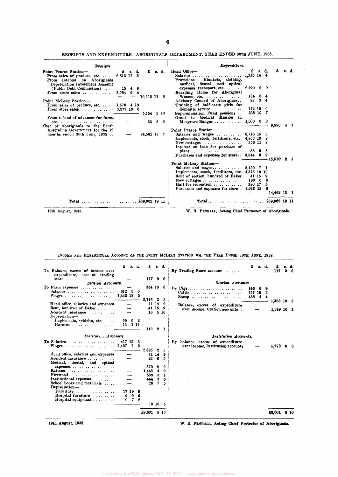| Reoeipts.                                                                                       |                      |               |      | Expenditure.                                                                                 |                      |        |              |                         |       |
|-------------------------------------------------------------------------------------------------|----------------------|---------------|------|----------------------------------------------------------------------------------------------|----------------------|--------|--------------|-------------------------|-------|
| Point Pearce Station-<br>From sales of produce, etc. $\ldots$ 6,612 17 5                        | £<br><b>s.</b> d.    | £             | L d. | Head Office-<br>Salaries                                                                     | £<br>1,315 14 4      | 8. d.  |              | £                       | s. d. |
| From interest on Aboriginals<br>Depreciation Investment Account<br>$(Public\;Debt\;Commission)$ | $15 \quad 4 \quad 9$ |               |      | Provisions - Blankets, clothing,<br>medical, dental, and optical<br>expenses, transport, etc | $6,990$ 0 0          |        |              |                         |       |
| From store sales $3,584$ 9                                                                      |                      | $10,212$ 11 6 |      | Boarding Home for Aboriginal<br>Women, etc. $\ldots$ $\ldots$ $\ldots$ $\ldots$              | 184 6 4              |        |              |                         |       |
| Point McLeay Station-<br>From sales of produce, etc. $\ldots$ 1,576 4 10                        |                      |               |      | Advisory Council of Aborigines<br>Training of half-caste girls for                           |                      | 89 3 4 |              |                         |       |
| From store sales $3,577$ 18 0                                                                   |                      |               |      | domestic service $\cdots$ $\cdots$                                                           | 172 10 0<br>238 10 7 |        |              |                         |       |
| From refund of advances for fares,                                                              |                      | 5,154 2 10    |      | Superannuation Fund pensions<br>Grant to Medical Mission in                                  |                      |        |              |                         |       |
| $etc.$<br>Cost of aboriginals to the South                                                      |                      | 33            | 80   | Musgrave Ranges  1,000 0 0                                                                   |                      |        |              | $9,990 \quad 4 \quad 7$ |       |
| Australian Government for the 12<br>months ended 30th June, 1938                                |                      | 24,562 17     | 7    | Point Pearce Station-<br>Salaries and wages $\ldots$ $\ldots$ $\ldots$ 6,716 15              |                      |        | - 0          |                         |       |
|                                                                                                 |                      |               |      | Implements, stock, fertilizers, etc 4,803 19                                                 |                      |        |              |                         |       |
|                                                                                                 |                      |               |      | New cottages $\cdots$ $\cdots$ $\cdots$<br>Interest on loan for purchase of                  | 356 11 8             |        |              |                         |       |
|                                                                                                 |                      |               |      | plant                                                                                        |                      | 88 9 8 |              |                         |       |
|                                                                                                 |                      |               |      | Purchases and expenses for store 3,544 6 9                                                   |                      |        | -15,510 2 3  |                         |       |
|                                                                                                 |                      |               |      | Point McLeay Station-                                                                        |                      |        |              |                         |       |
|                                                                                                 |                      |               |      | Salaries and wages 5,450 7 1                                                                 |                      |        |              |                         |       |
|                                                                                                 |                      |               |      | Implements, stock, fertilizers, etc. 4,375 10 10<br>Rent of section, hundred of Baker        | 41 15                |        | 9            |                         |       |
|                                                                                                 |                      |               |      | New cottages $\dots$ $\dots$ $\dots$                                                         | 180 6                |        | 6            |                         |       |
|                                                                                                 |                      |               |      | Hall for recreation                                                                          | 380 17               |        | 5            |                         |       |
|                                                                                                 |                      |               |      | Purchases and expenses for store 4,033 15 6                                                  |                      |        |              |                         |       |
|                                                                                                 |                      |               |      |                                                                                              |                      |        | -14,462 13 1 |                         |       |
|                                                                                                 |                      |               |      |                                                                                              |                      |        |              |                         |       |

RECEIPTS AND EXPENDITURE—ABORIGINALS DEPARTMENT, YEAR ENDED 30TH JUNE, 1938.

**19th August, 1938. W. R. PENHALL, Acting Chief Protector of Aboriginals.** 

| INCOME AND EXPENDITURE ACCOUNT OF THE POINT MCLEAY STATION FOR THE YEAR ENDER JOTH JUNE, 1938. |  |  |  |  |  |
|------------------------------------------------------------------------------------------------|--|--|--|--|--|
|                                                                                                |  |  |  |  |  |

|                                                                                 |          |                   |               | £8,601 8 10 | 18 16 5                 |              | £8,601                                                                        |    | 8 10 |
|---------------------------------------------------------------------------------|----------|-------------------|---------------|-------------|-------------------------|--------------|-------------------------------------------------------------------------------|----|------|
| Furniture<br>Hospital furniture<br>Hospital equipment                           | 0<br>0   | 17 19<br>- 9<br>7 | -9<br>-6<br>2 |             |                         |              |                                                                               |    |      |
| School books and materials<br>Depreciation-                                     |          |                   |               | 26          | 7.                      | 5.           |                                                                               |    |      |
| Institutional expenses                                                          |          |                   |               | 444         | 3                       | 6            |                                                                               |    |      |
| Firewood                                                                        |          |                   |               | 538         | 3                       | 1            |                                                                               |    |      |
| <b>Rations</b>                                                                  |          |                   |               | 1,445       | 4                       | 9            |                                                                               |    |      |
| expenses                                                                        |          |                   |               | 379         | 9                       | 9            |                                                                               |    |      |
| Medical, dental, and optical                                                    |          |                   |               |             |                         |              |                                                                               |    |      |
| Head office, salaries and expenses<br>Accident insurance                        |          |                   |               | 23          | 71 14<br>-6             | 9<br>5       |                                                                               |    |      |
| Wages 2,407                                                                     |          | 7                 | 2             | 2,825       | 2                       | 5            | over income, Institution accounts<br>5,772                                    | 8. | -6   |
| To Salaries                                                                     | 417 15   |                   | 3             |             |                         |              | By balance, excess of expenditure                                             |    |      |
| Institute Accounts.                                                             |          |                   |               |             |                         |              | Institution Accounts.                                                         |    |      |
| Implements, vehicles, etc.<br>Harness                                           | 99<br>13 | $\mathbf 0$       | - 2<br>1 11   | 112         | $\overline{\mathbf{2}}$ | $\mathbf{1}$ |                                                                               |    |      |
| Rent, hundred of Baker<br>Accident insurance<br>$Depreciation-$                 |          |                   |               |             | 41 15 9<br>16 5 10      |              | Balance, excess of expenditure<br>over income, Station accounts<br>1,349 10 1 |    |      |
| Wages $\cdots$ $\cdots$ $\cdots$ $\cdots$<br>Head office, salaries and expenses | 1,442 18 |                   | -5            | 2,115 3 5   | 71 14 9                 |              | Sheep<br>458<br>$\blacktriangleleft$<br>1,362 10 3                            |    |      |
| To Farm expenses<br>Salaries                                                    | 672.     | - 5               | -0            | 354 18 6    |                         |              | By Pigs<br>146<br>9<br>6<br>Cattle<br>757 19                                  |    |      |
| expenditure, account trading<br>store<br>Station Accounts.                      |          |                   |               | 11700       |                         |              | Station Accounts.                                                             |    |      |
| To Balance, excess of income over                                               |          |                   | s. d.         | £           | s. d.                   |              | By Trading Store account<br>117                                               | 0  |      |

19th August, 1938. **W. R. PENHALL**, Acting Chief Protector of Aboriginals.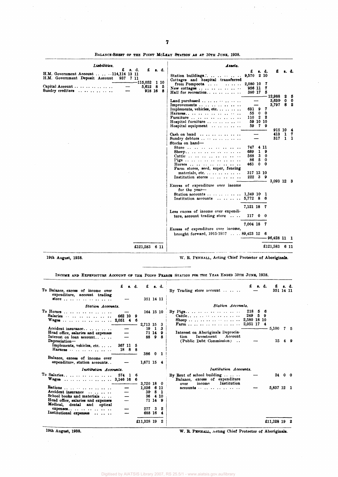| Liobilities.                                                                                                      | Assets.                                                                                                                                                                                                                                                                                  |                                         |                        |                           |   |
|-------------------------------------------------------------------------------------------------------------------|------------------------------------------------------------------------------------------------------------------------------------------------------------------------------------------------------------------------------------------------------------------------------------------|-----------------------------------------|------------------------|---------------------------|---|
| £<br>8. d.<br>£<br>s. d.<br>H.M. Government Account  114,114 13 11<br>H.M. Government Deposit Account<br>937 7 11 | £<br>9,570 2 10<br>Station buildings<br>Cottages and hospital transferred                                                                                                                                                                                                                | s. d.                                   |                        |                           |   |
| -115,052 1 10<br>Capital Account<br>5,612<br>- 8<br>- 5<br>Sundry creditors $\ldots$<br>918 16 8                  | 2,080 10<br>from Pompoota<br>$\cdots \cdots \cdots$<br>956 11<br>New cottages $\dots \dots$<br>380 17<br>Hall for recreation                                                                                                                                                             | 7<br>7<br>5                             | - 12,988               | 25                        |   |
|                                                                                                                   | Land purchased<br>Improvements<br>Implements, vehicles, etc.<br>631<br>9<br>55<br>0<br>Harness<br>$\boldsymbol{2}$<br>110<br>Furniture $\cdots$ $\cdots$ $\cdots$ $\cdots$<br>59<br>Hospital furniture $\ldots$ $\ldots$ $\ldots$<br>59<br>Hospital equipment $\cdots$ $\cdots$ $\cdots$ | 7<br>0<br>-2<br>10 10<br>79             | 3,630<br>3,797         | $0\quad 0$<br>8.          | 2 |
|                                                                                                                   | Cash on hand $\ldots$<br>Sundry debtors<br>Stocks on hand-                                                                                                                                                                                                                               |                                         | 915 10 4<br>413<br>317 | $\mathbf{1}$<br>$1\quad1$ | 7 |
|                                                                                                                   | 747<br>4<br>Store $\cdots$ $\cdots$ $\cdots$<br>689<br>1<br>3 <sup>1</sup><br>568<br>Cattle<br>5<br>86<br>463<br>0<br>Horses<br>Farm stores, seed, super, fencing<br>317 13 10<br>materials, etc. $\ldots$ $\ldots$ $\ldots$ $\ldots$<br>$222$ 3 9<br>Institution stores                 | 11<br>9<br>$\bf{0}$<br>0<br>$\mathbf 0$ |                        |                           |   |
|                                                                                                                   | Excess of expenditure over income<br>for the year-<br>1,349 10 1<br>Station accounts $\cdots$ $\cdots$ $\cdots$<br>Institution accounts<br>5,772 8 6                                                                                                                                     |                                         | 3,093 12 3             |                           |   |
|                                                                                                                   | 7,121 18 7<br>Less excess of income over expendi-<br>ture, account trading store<br>117 0 0                                                                                                                                                                                              |                                         |                        |                           |   |
|                                                                                                                   | 7,004 18 7<br>Excess of expenditure over income,<br>brought forward, $1915.193789,423$ 12 6                                                                                                                                                                                              |                                         | -96,428 11 1           |                           |   |
| £121,583 6 11                                                                                                     |                                                                                                                                                                                                                                                                                          |                                         | £121,583               | 6 11                      |   |

BALANCE-SHEET OF THE POINT MCLEAY STATION AS AT 30TH JUNE, 1938.

**19th August, 1938. W. R. PENHALL, Acting Chief Protector of Aboriginals.** 

INCOME AND EXPENDITURE ACCOUNT OF THE POINT PEARCE STATION FOR THE YEAR ENDED 30TH JUNE, 1938.

| To Balance, excess of income over<br>expenditure, account trading<br>store<br>Station Accounts.                                                                        | £        |        | s. d.   | £<br>351 14 11                      |                          | s. d.                       | s. d.<br>By Trading store account<br>Station Accounts.                                                                   | £.          | 351 14 11 |          |
|------------------------------------------------------------------------------------------------------------------------------------------------------------------------|----------|--------|---------|-------------------------------------|--------------------------|-----------------------------|--------------------------------------------------------------------------------------------------------------------------|-------------|-----------|----------|
| To Horses<br>Salaries<br>Wages  2,051 4<br>Accident insurance<br>Head office, salaries and expenses<br>Interest on loan account<br>Depreciation-                       | 662 10   |        | 9<br>-6 | 2,713 15<br>88                      | 19 1<br>71 14 9          | 164 15 10<br>- 3<br>3<br>98 | 218<br>56<br>249<br>59<br>Interest on Aboriginals Deprecia-<br>Investment<br>tion<br>Account<br>(Public Debt Commission) | 5,100<br>15 |           | 75<br>49 |
| Implements, vehicles, etc.<br>Balance, excess of income over<br>expenditure, station accounts<br>Institution Accounts.                                                 | 367 11 5 | 18 8 8 |         | 386 0 1<br>1,671 15 4               |                          |                             | Institution Accounts.                                                                                                    |             |           |          |
| To Salaries<br>Wages  3,146 16 6                                                                                                                                       | 574      | 16     |         | 3,720 18                            |                          | - 0                         | By Rent of school building $\ldots$<br>Balance, excess of expenditure<br>Institution<br>income<br>over                   |             | 24 0 0    |          |
| Rations<br>Accident insurance<br>School books and materials<br>Head office, salaries and expenses<br>Medical, dental and optical<br>expeness<br>Institutional expenses |          |        |         | 1,036 6 11<br>30<br>277 3<br>688 16 | -8<br>36 4 10<br>71 14 9 | - 1<br>4                    | $accounts \dots \dots \dots \dots \dots$                                                                                 | 5,837 12 1  |           |          |
|                                                                                                                                                                        |          |        |         | £11,328 19                          |                          | 2                           |                                                                                                                          | £11,328 19  |           |          |

 $\bar{z}$ 

19th August, 1938. W. R. PENHALL, Acting Chief Protector of Aboriginals.